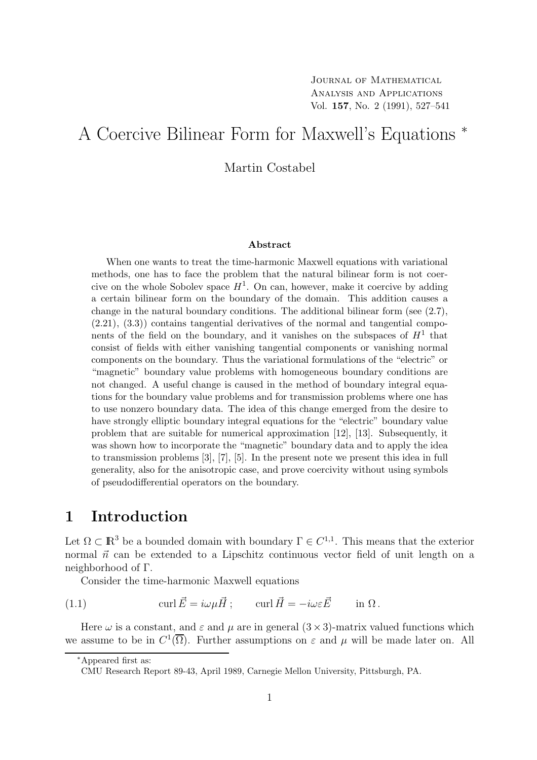# A Coercive Bilinear Form for Maxwell's Equations <sup>∗</sup>

Martin Costabel

#### Abstract

When one wants to treat the time-harmonic Maxwell equations with variational methods, one has to face the problem that the natural bilinear form is not coercive on the whole Sobolev space  $H^1$ . On can, however, make it coercive by adding a certain bilinear form on the boundary of the domain. This addition causes a change in the natural boundary conditions. The additional bilinear form (see  $(2.7)$ ,  $(2.21), (3.3)$  contains tangential derivatives of the normal and tangential components of the field on the boundary, and it vanishes on the subspaces of  $H<sup>1</sup>$  that consist of fields with either vanishing tangential components or vanishing normal components on the boundary. Thus the variational formulations of the "electric" or "magnetic" boundary value problems with homogeneous boundary conditions are not changed. A useful change is caused in the method of boundary integral equations for the boundary value problems and for transmission problems where one has to use nonzero boundary data. The idea of this change emerged from the desire to have strongly elliptic boundary integral equations for the "electric" boundary value problem that are suitable for numerical approximation [12], [13]. Subsequently, it was shown how to incorporate the "magnetic" boundary data and to apply the idea to transmission problems [3], [7], [5]. In the present note we present this idea in full generality, also for the anisotropic case, and prove coercivity without using symbols of pseudodifferential operators on the boundary.

#### 1 Introduction

Let  $\Omega \subset \mathbb{R}^3$  be a bounded domain with boundary  $\Gamma \in C^{1,1}$ . This means that the exterior normal  $\vec{n}$  can be extended to a Lipschitz continuous vector field of unit length on a neighborhood of Γ.

Consider the time-harmonic Maxwell equations

(1.1)  $\text{curl } \vec{E} = i\omega u \vec{H}$ ;  $\text{curl } \vec{H} = -i\omega \varepsilon \vec{E}$  in  $\Omega$ .

Here  $\omega$  is a constant, and  $\varepsilon$  and  $\mu$  are in general  $(3 \times 3)$ -matrix valued functions which we assume to be in  $C^1(\overline{\Omega})$ . Further assumptions on  $\varepsilon$  and  $\mu$  will be made later on. All

<sup>∗</sup>Appeared first as:

CMU Research Report 89-43, April 1989, Carnegie Mellon University, Pittsburgh, PA.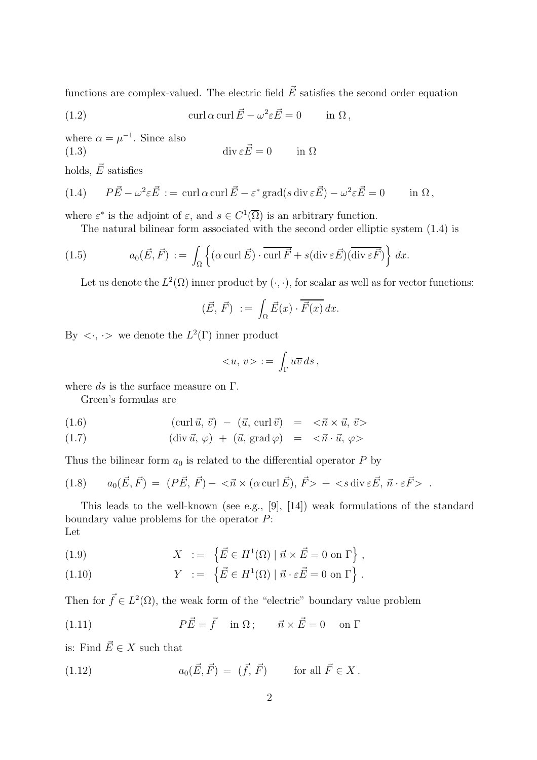functions are complex-valued. The electric field  $\vec{E}$  satisfies the second order equation

(1.2) 
$$
\operatorname{curl} \alpha \operatorname{curl} \vec{E} - \omega^2 \varepsilon \vec{E} = 0 \quad \text{in } \Omega,
$$

where  $\alpha = \mu^{-1}$ . Since also (1.3)  $\operatorname{div} \varepsilon \vec{E} = 0$  in  $\Omega$ 

holds,  $\vec{E}$  satisfies

(1.4) 
$$
P\vec{E} - \omega^2 \varepsilon \vec{E} := \operatorname{curl} \alpha \operatorname{curl} \vec{E} - \varepsilon^* \operatorname{grad}(s \operatorname{div} \varepsilon \vec{E}) - \omega^2 \varepsilon \vec{E} = 0 \quad \text{in } \Omega,
$$

where  $\varepsilon^*$  is the adjoint of  $\varepsilon$ , and  $s \in C^1(\overline{\Omega})$  is an arbitrary function.

The natural bilinear form associated with the second order elliptic system (1.4) is

(1.5) 
$$
a_0(\vec{E}, \vec{F}) := \int_{\Omega} \left\{ (\alpha \operatorname{curl} \vec{E}) \cdot \overline{\operatorname{curl} \vec{F}} + s(\operatorname{div} \varepsilon \vec{E}) (\overline{\operatorname{div} \varepsilon \vec{F}}) \right\} dx.
$$

Let us denote the  $L^2(\Omega)$  inner product by  $(\cdot, \cdot)$ , for scalar as well as for vector functions:

$$
(\vec{E}, \vec{F}) := \int_{\Omega} \vec{E}(x) \cdot \overline{\vec{F}(x)} dx.
$$

By  $\langle \cdot, \cdot \rangle$  we denote the  $L^2(\Gamma)$  inner product

$$
\langle u, v \rangle := \int_{\Gamma} u \overline{v} \, ds \, ,
$$

where  $ds$  is the surface measure on  $\Gamma$ .

Green's formulas are

(1.6) 
$$
(\operatorname{curl} \vec{u}, \vec{v}) - (\vec{u}, \operatorname{curl} \vec{v}) = \langle \vec{n} \times \vec{u}, \vec{v} \rangle
$$

(1.7) 
$$
(\text{div }\vec{u}, \varphi) + (\vec{u}, \text{grad }\varphi) = \langle \vec{n} \cdot \vec{u}, \varphi \rangle
$$

Thus the bilinear form  $a_0$  is related to the differential operator P by

(1.8) 
$$
a_0(\vec{E}, \vec{F}) = (P\vec{E}, \vec{F}) - \langle \vec{n} \times (\alpha \operatorname{curl} \vec{E}), \vec{F} \rangle + \langle s \operatorname{div} \varepsilon \vec{E}, \vec{n} \cdot \varepsilon \vec{F} \rangle.
$$

This leads to the well-known (see e.g., [9], [14]) weak formulations of the standard boundary value problems for the operator P: Let

(1.9) 
$$
X := \left\{ \vec{E} \in H^1(\Omega) \mid \vec{n} \times \vec{E} = 0 \text{ on } \Gamma \right\},
$$

(1.10) 
$$
Y := \left\{ \vec{E} \in H^1(\Omega) \mid \vec{n} \cdot \varepsilon \vec{E} = 0 \text{ on } \Gamma \right\}.
$$

Then for  $\vec{f} \in L^2(\Omega)$ , the weak form of the "electric" boundary value problem

(1.11) 
$$
P\vec{E} = \vec{f} \quad \text{in } \Omega; \qquad \vec{n} \times \vec{E} = 0 \quad \text{on } \Gamma
$$

is: Find  $\vec{E} \in X$  such that

(1.12) 
$$
a_0(\vec{E}, \vec{F}) = (\vec{f}, \vec{F})
$$
 for all  $\vec{F} \in X$ .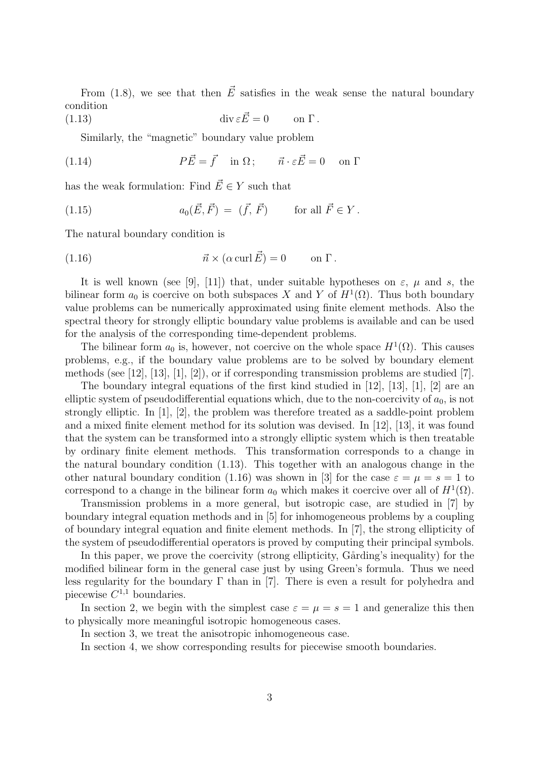From (1.8), we see that then  $\vec{E}$  satisfies in the weak sense the natural boundary condition

(1.13) 
$$
\operatorname{div} \varepsilon \vec{E} = 0 \qquad \text{on } \Gamma.
$$

Similarly, the "magnetic" boundary value problem

(1.14) 
$$
P\vec{E} = \vec{f} \quad \text{in } \Omega; \qquad \vec{n} \cdot \varepsilon \vec{E} = 0 \quad \text{on } \Gamma
$$

has the weak formulation: Find  $\vec{E} \in Y$  such that

(1.15) 
$$
a_0(\vec{E}, \vec{F}) = (\vec{f}, \vec{F})
$$
 for all  $\vec{F} \in Y$ .

The natural boundary condition is

(1.16) 
$$
\vec{n} \times (\alpha \operatorname{curl} \vec{E}) = 0 \quad \text{on } \Gamma.
$$

It is well known (see [9], [11]) that, under suitable hypotheses on  $\varepsilon$ ,  $\mu$  and s, the bilinear form  $a_0$  is coercive on both subspaces X and Y of  $H^1(\Omega)$ . Thus both boundary value problems can be numerically approximated using finite element methods. Also the spectral theory for strongly elliptic boundary value problems is available and can be used for the analysis of the corresponding time-dependent problems.

The bilinear form  $a_0$  is, however, not coercive on the whole space  $H^1(\Omega)$ . This causes problems, e.g., if the boundary value problems are to be solved by boundary element methods (see [12], [13], [1], [2]), or if corresponding transmission problems are studied [7].

The boundary integral equations of the first kind studied in [12], [13], [1], [2] are an elliptic system of pseudodifferential equations which, due to the non-coercivity of  $a_0$ , is not strongly elliptic. In [1], [2], the problem was therefore treated as a saddle-point problem and a mixed finite element method for its solution was devised. In [12], [13], it was found that the system can be transformed into a strongly elliptic system which is then treatable by ordinary finite element methods. This transformation corresponds to a change in the natural boundary condition (1.13). This together with an analogous change in the other natural boundary condition (1.16) was shown in [3] for the case  $\varepsilon = \mu = s = 1$  to correspond to a change in the bilinear form  $a_0$  which makes it coercive over all of  $H^1(\Omega)$ .

Transmission problems in a more general, but isotropic case, are studied in [7] by boundary integral equation methods and in [5] for inhomogeneous problems by a coupling of boundary integral equation and finite element methods. In [7], the strong ellipticity of the system of pseudodifferential operators is proved by computing their principal symbols.

In this paper, we prove the coercivity (strong ellipticity, Gårding's inequality) for the modified bilinear form in the general case just by using Green's formula. Thus we need less regularity for the boundary  $\Gamma$  than in [7]. There is even a result for polyhedra and piecewise  $C^{1,1}$  boundaries.

In section 2, we begin with the simplest case  $\varepsilon = \mu = s = 1$  and generalize this then to physically more meaningful isotropic homogeneous cases.

In section 3, we treat the anisotropic inhomogeneous case.

In section 4, we show corresponding results for piecewise smooth boundaries.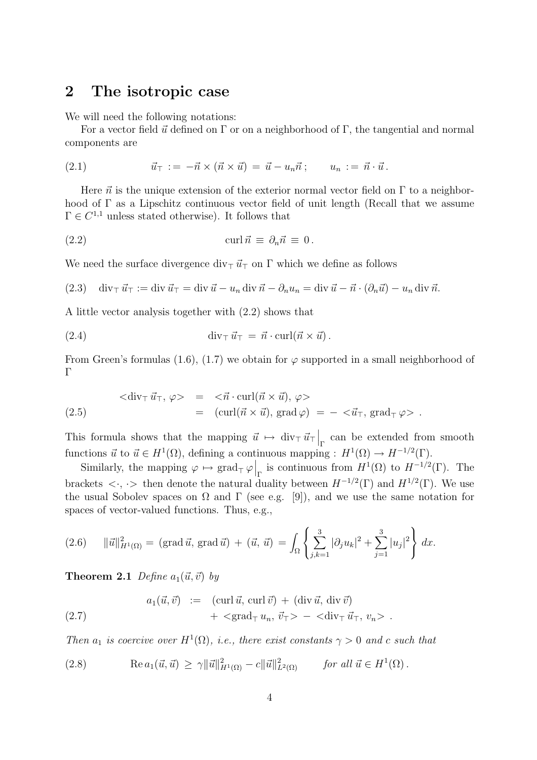#### 2 The isotropic case

We will need the following notations:

For a vector field  $\vec{u}$  defined on Γ or on a neighborhood of Γ, the tangential and normal components are

$$
(2.1) \qquad \qquad \vec{u}_{\top} := -\vec{n} \times (\vec{n} \times \vec{u}) = \vec{u} - u_n \vec{n} \, ; \qquad u_n := \vec{n} \cdot \vec{u} \, .
$$

Here  $\vec{n}$  is the unique extension of the exterior normal vector field on  $\Gamma$  to a neighborhood of Γ as a Lipschitz continuous vector field of unit length (Recall that we assume  $\Gamma \in C^{1,1}$  unless stated otherwise). It follows that

(2.2) 
$$
\operatorname{curl} \vec{n} \equiv \partial_n \vec{n} \equiv 0.
$$

We need the surface divergence div<sub>⊤</sub>  $\vec{u}_\perp$  on  $\Gamma$  which we define as follows

(2.3) 
$$
\operatorname{div}_{\top} \vec{u}_{\top} := \operatorname{div} \vec{u}_{\top} = \operatorname{div} \vec{u} - u_n \operatorname{div} \vec{n} - \partial_n u_n = \operatorname{div} \vec{u} - \vec{n} \cdot (\partial_n \vec{u}) - u_n \operatorname{div} \vec{n}.
$$

A little vector analysis together with (2.2) shows that

(2.4) 
$$
\operatorname{div}_{\top} \vec{u}_{\top} = \vec{n} \cdot \operatorname{curl}(\vec{n} \times \vec{u}).
$$

From Green's formulas (1.6), (1.7) we obtain for  $\varphi$  supported in a small neighborhood of Γ

$$
\langle \operatorname{div}_{\top} \vec{u}_{\top}, \varphi \rangle = \langle \vec{n} \cdot \operatorname{curl}(\vec{n} \times \vec{u}), \varphi \rangle
$$
  
(2.5) 
$$
= (\operatorname{curl}(\vec{n} \times \vec{u}), \operatorname{grad} \varphi) = -\langle \vec{u}_{\top}, \operatorname{grad}_{\top} \varphi \rangle.
$$

This formula shows that the mapping  $\vec{u} \mapsto \text{div}_{\top} \vec{u}_{\top} \Big|_{\Gamma}$  can be extended from smooth functions  $\vec{u}$  to  $\vec{u} \in H^1(\Omega)$ , defining a continuous mapping :  $H^1(\Omega) \to H^{-1/2}(\Gamma)$ .

Similarly, the mapping  $\varphi \mapsto \text{grad}_{\top} \varphi \Big|_{\Gamma}$  is continuous from  $H^1(\Omega)$  to  $H^{-1/2}(\Gamma)$ . The brackets  $\langle \cdot, \cdot \rangle$  then denote the natural duality between  $H^{-1/2}(\Gamma)$  and  $H^{1/2}(\Gamma)$ . We use the usual Sobolev spaces on  $\Omega$  and  $\Gamma$  (see e.g. [9]), and we use the same notation for spaces of vector-valued functions. Thus, e.g.,

(2.6) 
$$
\|\vec{u}\|_{H^1(\Omega)}^2 = (\text{grad }\vec{u}, \text{ grad }\vec{u}) + (\vec{u}, \vec{u}) = \int_{\Omega} \left\{ \sum_{j,k=1}^3 |\partial_j u_k|^2 + \sum_{j=1}^3 |u_j|^2 \right\} dx.
$$

**Theorem 2.1** Define  $a_1(\vec{u}, \vec{v})$  by

(2.7) 
$$
a_1(\vec{u}, \vec{v}) := (\text{curl } \vec{u}, \text{curl } \vec{v}) + (\text{div } \vec{u}, \text{div } \vec{v}) + \langle \text{grad}_{\top} u_n, \vec{v}_{\top} \rangle - \langle \text{div}_{\top} \vec{u}_{\top}, v_n \rangle.
$$

Then  $a_1$  is coercive over  $H^1(\Omega)$ , i.e., there exist constants  $\gamma > 0$  and c such that

(2.8) 
$$
\text{Re } a_1(\vec{u}, \vec{u}) \ge \gamma ||\vec{u}||^2_{H^1(\Omega)} - c ||\vec{u}||^2_{L^2(\Omega)} \quad \text{for all } \vec{u} \in H^1(\Omega).
$$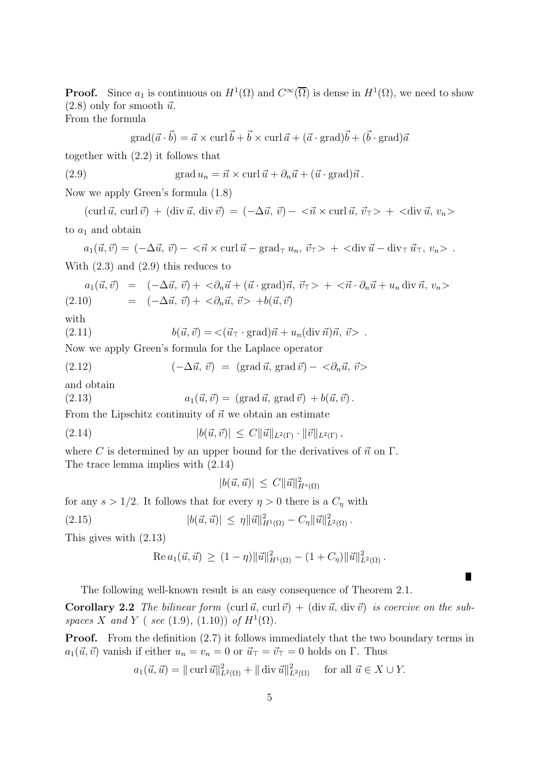**Proof.** Since  $a_1$  is continuous on  $H^1(\Omega)$  and  $C^{\infty}(\overline{\Omega})$  is dense in  $H^1(\Omega)$ , we need to show  $(2.8)$  only for smooth  $\vec{u}$ .

From the formula

$$
grad(\vec{a} \cdot \vec{b}) = \vec{a} \times curl \vec{b} + \vec{b} \times curl \vec{a} + (\vec{a} \cdot grad)\vec{b} + (\vec{b} \cdot grad)\vec{a}
$$

together with (2.2) it follows that

(2.9) 
$$
\operatorname{grad} u_n = \vec{n} \times \operatorname{curl} \vec{u} + \partial_n \vec{u} + (\vec{u} \cdot \operatorname{grad}) \vec{n}.
$$

Now we apply Green's formula (1.8)

 $(\operatorname{curl} \vec{u}, \operatorname{curl} \vec{v}) + (\operatorname{div} \vec{u}, \operatorname{div} \vec{v}) = (-\Delta \vec{u}, \vec{v}) - \langle \vec{n} \times \operatorname{curl} \vec{u}, \vec{v}_T \rangle + \langle \operatorname{div} \vec{u}, v_n \rangle$ to  $a_1$  and obtain

 $a_1(\vec{u}, \vec{v}) = (-\Delta \vec{u}, \vec{v}) - \langle \vec{n} \times \text{curl } \vec{u} - \text{grad}_{\top} u_n, \vec{v}_{\top} \rangle + \langle \text{div } \vec{u} - \text{div}_{\top} \vec{u}_{\top}, v_n \rangle$ . With (2.3) and (2.9) this reduces to

$$
a_1(\vec{u}, \vec{v}) = (-\Delta \vec{u}, \vec{v}) + <\partial_n \vec{u} + (\vec{u} \cdot \text{grad})\vec{n}, \vec{v}_T> + <\vec{n} \cdot \partial_n \vec{u} + u_n \text{ div } \vec{n}, v_n>
$$
  
(2.10) =  $(-\Delta \vec{u}, \vec{v}) + <\partial_n \vec{u}, \vec{v}> +b(\vec{u}, \vec{v})$ 

with

(2.11)  $b(\vec{u}, \vec{v}) = \langle (\vec{u}_{\top} \cdot \text{grad})\vec{n} + u_n(\text{div } \vec{n})\vec{n}, \vec{v} \rangle$ .

Now we apply Green's formula for the Laplace operator

(2.12) 
$$
(-\Delta \vec{u}, \vec{v}) = (\text{grad } \vec{u}, \text{grad } \vec{v}) - <\partial_n \vec{u}, \vec{v}>
$$

and obtain

(2.13) 
$$
a_1(\vec{u}, \vec{v}) = (\text{grad }\vec{u}, \text{grad }\vec{v}) + b(\vec{u}, \vec{v}).
$$

From the Lipschitz continuity of  $\vec{n}$  we obtain an estimate

(2.14) 
$$
|b(\vec{u}, \vec{v})| \leq C ||\vec{u}||_{L^2(\Gamma)} \cdot ||\vec{v}||_{L^2(\Gamma)},
$$

where C is determined by an upper bound for the derivatives of  $\vec{n}$  on  $\Gamma$ . The trace lemma implies with (2.14)

$$
|b(\vec{u}, \vec{u})| \leq C ||\vec{u}||^2_{H^s(\Omega)}
$$

for any  $s > 1/2$ . It follows that for every  $\eta > 0$  there is a  $C_{\eta}$  with

(2.15) 
$$
|b(\vec{u}, \vec{u})| \leq \eta \|\vec{u}\|_{H^1(\Omega)}^2 - C_{\eta} \|\vec{u}\|_{L^2(\Omega)}^2.
$$

This gives with (2.13)

Re 
$$
a_1(\vec{u}, \vec{u}) \ge (1 - \eta) ||\vec{u}||^2_{H^1(\Omega)} - (1 + C_\eta) ||\vec{u}||^2_{L^2(\Omega)}
$$
.

П

The following well-known result is an easy consequence of Theorem 2.1.

**Corollary 2.2** The bilinear form  $(\text{curl } \vec{u}, \text{curl } \vec{v}) + (\text{div } \vec{u}, \text{div } \vec{v})$  is coercive on the subspaces X and Y (see (1.9), (1.10)) of  $H^1(\Omega)$ .

**Proof.** From the definition  $(2.7)$  it follows immediately that the two boundary terms in  $a_1(\vec{u}, \vec{v})$  vanish if either  $u_n = v_n = 0$  or  $\vec{u}_{\perp} = \vec{v}_{\perp} = 0$  holds on Γ. Thus

$$
a_1(\vec{u}, \vec{u}) = || \operatorname{curl} \vec{u} ||_{L^2(\Omega)}^2 + || \operatorname{div} \vec{u} ||_{L^2(\Omega)}^2 \quad \text{for all } \vec{u} \in X \cup Y.
$$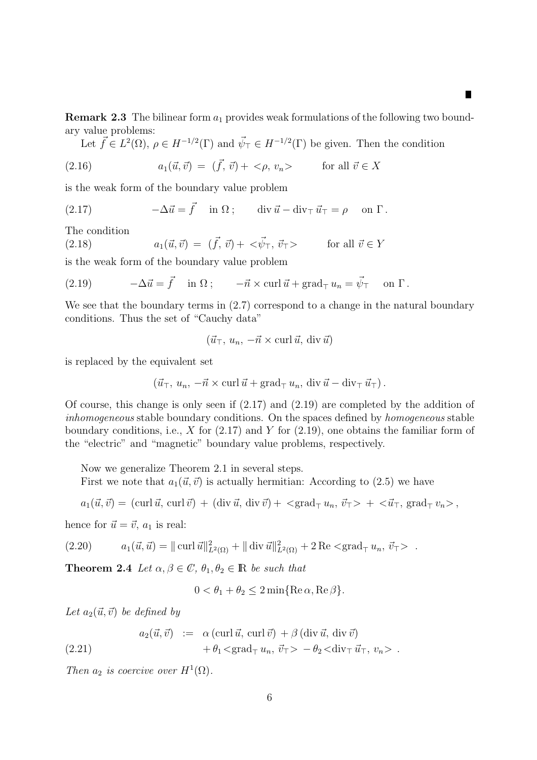**Remark 2.3** The bilinear form  $a_1$  provides weak formulations of the following two boundary value problems:

П

Let  $\vec{f} \in L^2(\Omega)$ ,  $\rho \in H^{-1/2}(\Gamma)$  and  $\vec{\psi}_{\top} \in H^{-1/2}(\Gamma)$  be given. Then the condition

(2.16) 
$$
a_1(\vec{u}, \vec{v}) = (\vec{f}, \vec{v}) + \langle \rho, v_n \rangle \quad \text{for all } \vec{v} \in X
$$

is the weak form of the boundary value problem

(2.17) 
$$
-\Delta \vec{u} = \vec{f} \quad \text{in } \Omega \, ; \qquad \text{div } \vec{u} - \text{div}_{\top} \vec{u}_{\top} = \rho \quad \text{on } \Gamma \, .
$$

The condition

(2.18)  $a_1(\vec{u}, \vec{v}) = (\vec{f}, \vec{v}) + \langle \vec{\psi}_{\top}, \vec{v}_{\top} \rangle$  for all  $\vec{v} \in Y$ 

is the weak form of the boundary value problem

(2.19) 
$$
-\Delta \vec{u} = \vec{f} \quad \text{in } \Omega \, ; \qquad -\vec{n} \times \text{curl } \vec{u} + \text{grad}_{\top} u_n = \vec{\psi}_{\top} \quad \text{on } \Gamma \, .
$$

We see that the boundary terms in  $(2.7)$  correspond to a change in the natural boundary conditions. Thus the set of "Cauchy data"

$$
(\vec{u}_{\top}, u_n, -\vec{n} \times \text{curl } \vec{u}, \text{div } \vec{u})
$$

is replaced by the equivalent set

$$
(\vec{u}_{\top}, u_n, -\vec{n} \times \text{curl } \vec{u} + \text{grad}_{\top} u_n, \text{ div } \vec{u} - \text{div}_{\top} \vec{u}_{\top}).
$$

Of course, this change is only seen if (2.17) and (2.19) are completed by the addition of inhomogeneous stable boundary conditions. On the spaces defined by homogeneous stable boundary conditions, i.e.,  $X$  for  $(2.17)$  and  $Y$  for  $(2.19)$ , one obtains the familiar form of the "electric" and "magnetic" boundary value problems, respectively.

Now we generalize Theorem 2.1 in several steps.

First we note that  $a_1(\vec{u}, \vec{v})$  is actually hermitian: According to (2.5) we have

 $a_1({\vec u},{\vec v}) = (\text{curl }{\vec u},~\text{curl }{\vec v}) + (\text{div }{\vec u},~\text{div }{\vec v}) + <\text{grad}_{\top} u_n, ~{\vec v}_{\top}> + <{\vec u}_{\top}, ~\text{grad}_{\top} v_n> ,$ 

hence for  $\vec{u} = \vec{v}$ ,  $a_1$  is real:

$$
(2.20) \t a_1(\vec{u}, \vec{u}) = || \operatorname{curl} \vec{u} ||_{L^2(\Omega)}^2 + || \operatorname{div} \vec{u} ||_{L^2(\Omega)}^2 + 2 \operatorname{Re} < \operatorname{grad}_{\mathsf{T}} u_n, \vec{v}_{\mathsf{T}} > .
$$

**Theorem 2.4** Let  $\alpha, \beta \in \mathbb{C}$ ,  $\theta_1, \theta_2 \in \mathbb{R}$  be such that

$$
0 < \theta_1 + \theta_2 \le 2 \min\{\text{Re}\,\alpha, \text{Re}\,\beta\}.
$$

Let  $a_2(\vec{u}, \vec{v})$  be defined by

(2.21) 
$$
a_2(\vec{u}, \vec{v}) := \alpha (\text{curl } \vec{u}, \text{curl } \vec{v}) + \beta (\text{div } \vec{u}, \text{div } \vec{v}) + \theta_1 < \text{grad}_{\top} u_n, \vec{v}_{\top} > -\theta_2 < \text{div}_{\top} \vec{u}_{\top}, v_n > .
$$

Then  $a_2$  is coercive over  $H^1(\Omega)$ .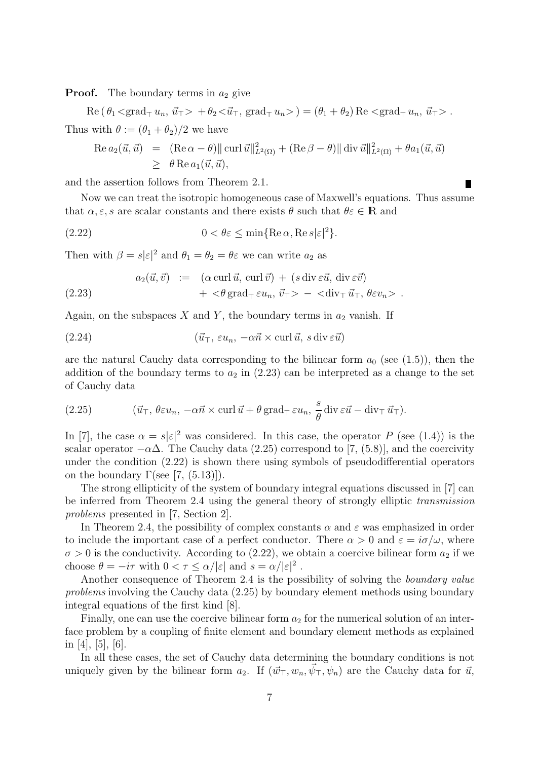**Proof.** The boundary terms in  $a_2$  give

 $\text{Re}(\theta_1 \langle \text{grad}_{\top} u_n, \vec{u}_{\top} \rangle + \theta_2 \langle \vec{u}_{\top}, \text{grad}_{\top} u_n \rangle) = (\theta_1 + \theta_2) \text{Re} \langle \text{grad}_{\top} u_n, \vec{u}_{\top} \rangle.$ Thus with  $\theta := (\theta_1 + \theta_2)/2$  we have

Re 
$$
a_2(\vec{u}, \vec{u})
$$
 =  $(\text{Re }\alpha - \theta) || \text{ curl } \vec{u}||^2_{L^2(\Omega)} + (\text{Re }\beta - \theta) || \text{ div } \vec{u}||^2_{L^2(\Omega)} + \theta a_1(\vec{u}, \vec{u})$   
\n $\geq \theta \text{Re } a_1(\vec{u}, \vec{u}),$ 

and the assertion follows from Theorem 2.1.

Now we can treat the isotropic homogeneous case of Maxwell's equations. Thus assume that  $\alpha, \varepsilon$ , s are scalar constants and there exists  $\theta$  such that  $\theta \varepsilon \in \mathbb{R}$  and

(2.22) 
$$
0 < \theta \varepsilon \le \min\{\text{Re}\,\alpha,\text{Re}\,s|\varepsilon|^2\}.
$$

Then with  $\beta = s|\varepsilon|^2$  and  $\theta_1 = \theta_2 = \theta\varepsilon$  we can write  $a_2$  as

(2.23) 
$$
a_2(\vec{u}, \vec{v}) := (\alpha \operatorname{curl} \vec{u}, \operatorname{curl} \vec{v}) + (s \operatorname{div} \varepsilon \vec{u}, \operatorname{div} \varepsilon \vec{v}) + < \theta \operatorname{grad}_{\top} \varepsilon u_n, \vec{v}_{\top} > - < \operatorname{div}_{\top} \vec{u}_{\top}, \theta \varepsilon v_n > .
$$

Again, on the subspaces X and Y, the boundary terms in  $a_2$  vanish. If

(2.24) 
$$
(\vec{u}_{\top}, \varepsilon u_n, -\alpha \vec{n} \times \text{curl } \vec{u}, s \text{ div } \varepsilon \vec{u})
$$

are the natural Cauchy data corresponding to the bilinear form  $a_0$  (see (1.5)), then the addition of the boundary terms to  $a_2$  in (2.23) can be interpreted as a change to the set of Cauchy data

(2.25) 
$$
(\vec{u}_{\top}, \theta \varepsilon u_n, -\alpha \vec{n} \times \text{curl } \vec{u} + \theta \text{ grad}_{\top} \varepsilon u_n, \frac{s}{\theta} \text{ div } \varepsilon \vec{u} - \text{div}_{\top} \vec{u}_{\top}).
$$

In [7], the case  $\alpha = s|\varepsilon|^2$  was considered. In this case, the operator P (see (1.4)) is the scalar operator  $-\alpha\Delta$ . The Cauchy data (2.25) correspond to [7, (5.8)], and the coercivity under the condition (2.22) is shown there using symbols of pseudodifferential operators on the boundary  $\Gamma$ (see [7, (5.13)]).

The strong ellipticity of the system of boundary integral equations discussed in [7] can be inferred from Theorem 2.4 using the general theory of strongly elliptic transmission problems presented in [7, Section 2].

In Theorem 2.4, the possibility of complex constants  $\alpha$  and  $\varepsilon$  was emphasized in order to include the important case of a perfect conductor. There  $\alpha > 0$  and  $\varepsilon = i\sigma/\omega$ , where  $\sigma > 0$  is the conductivity. According to (2.22), we obtain a coercive bilinear form  $a_2$  if we choose  $\theta = -i\tau$  with  $0 < \tau \leq \alpha/|\varepsilon|$  and  $s = \alpha/|\varepsilon|^2$ .

Another consequence of Theorem 2.4 is the possibility of solving the boundary value problems involving the Cauchy data (2.25) by boundary element methods using boundary integral equations of the first kind [8].

Finally, one can use the coercive bilinear form  $a_2$  for the numerical solution of an interface problem by a coupling of finite element and boundary element methods as explained in [4], [5], [6].

In all these cases, the set of Cauchy data determining the boundary conditions is not uniquely given by the bilinear form  $a_2$ . If  $(\vec{w}_\perp, w_n, \vec{\psi}_\perp, \psi_n)$  are the Cauchy data for  $\vec{u}$ ,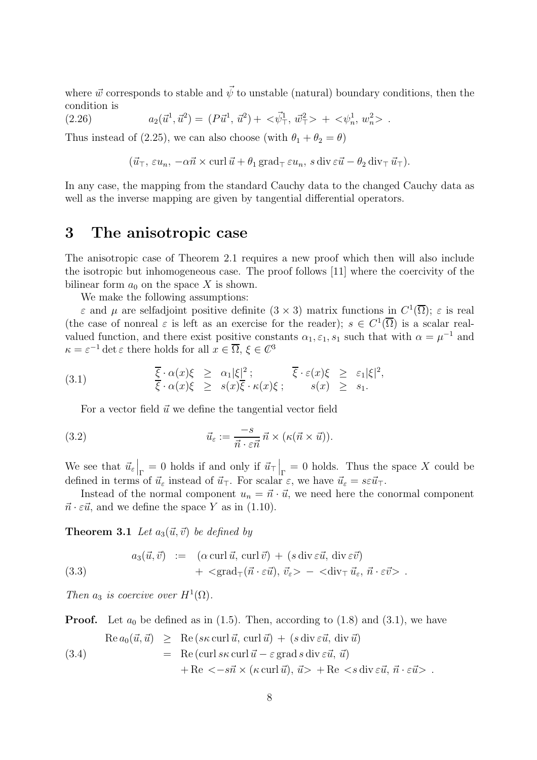where  $\vec{w}$  corresponds to stable and  $\vec{\psi}$  to unstable (natural) boundary conditions, then the condition is

(2.26)  $a_2(\vec{u}^1, \vec{u}^2) = (P\vec{u}^1, \vec{u}^2) + \langle \vec{\psi}^1_\top, \vec{w}^2_\top \rangle + \langle \psi^1_n, w^2_n \rangle$ .

Thus instead of (2.25), we can also choose (with  $\theta_1 + \theta_2 = \theta$ )

$$
(\vec{u}_{\top}, \varepsilon u_n, -\alpha \vec{n} \times \text{curl } \vec{u} + \theta_1 \text{grad}_{\top} \varepsilon u_n, s \text{ div } \varepsilon \vec{u} - \theta_2 \text{ div}_{\top} \vec{u}_{\top}).
$$

In any case, the mapping from the standard Cauchy data to the changed Cauchy data as well as the inverse mapping are given by tangential differential operators.

#### 3 The anisotropic case

The anisotropic case of Theorem 2.1 requires a new proof which then will also include the isotropic but inhomogeneous case. The proof follows [11] where the coercivity of the bilinear form  $a_0$  on the space X is shown.

We make the following assumptions:

 $\varepsilon$  and  $\mu$  are selfadjoint positive definite  $(3 \times 3)$  matrix functions in  $C^1(\overline{\Omega})$ ;  $\varepsilon$  is real (the case of nonreal  $\varepsilon$  is left as an exercise for the reader);  $s \in C^1(\overline{\Omega})$  is a scalar realvalued function, and there exist positive constants  $\alpha_1, \varepsilon_1, s_1$  such that with  $\alpha = \mu^{-1}$  and  $\kappa = \varepsilon^{-1} \det \varepsilon$  there holds for all  $x \in \overline{\Omega}$ ,  $\xi \in \mathbb{C}^3$ 

(3.1) 
$$
\frac{\overline{\xi} \cdot \alpha(x)\xi}{\overline{\xi} \cdot \alpha(x)\xi} \geq \frac{\alpha_1 |\xi|^2}{\xi \cdot \kappa(x)\xi}; \qquad \frac{\overline{\xi} \cdot \varepsilon(x)\xi}{\xi(x)} \geq \varepsilon_1 |\xi|^2,
$$

For a vector field  $\vec{u}$  we define the tangential vector field

(3.2) 
$$
\vec{u}_{\varepsilon} := \frac{-s}{\vec{n} \cdot \varepsilon \vec{n}} \,\vec{n} \times (\kappa(\vec{n} \times \vec{u})).
$$

We see that  $\vec{u}_{\varepsilon}|_{\Gamma} = 0$  holds if and only if  $\vec{u}_{\tau}|_{\Gamma} = 0$  holds. Thus the space X could be defined in terms of  $\vec{u}_{\varepsilon}$  instead of  $\vec{u}_{\tau}$ . For scalar  $\varepsilon$ , we have  $\vec{u}_{\varepsilon} = s \varepsilon \vec{u}_{\tau}$ .

Instead of the normal component  $u_n = \vec{n} \cdot \vec{u}$ , we need here the conormal component  $\vec{n} \cdot \varepsilon \vec{u}$ , and we define the space Y as in (1.10).

**Theorem 3.1** Let  $a_3(\vec{u}, \vec{v})$  be defined by

(3.3) 
$$
a_3(\vec{u}, \vec{v}) := (\alpha \operatorname{curl} \vec{u}, \operatorname{curl} \vec{v}) + (s \operatorname{div} \varepsilon \vec{u}, \operatorname{div} \varepsilon \vec{v}) + \langle \operatorname{grad}_{\top}(\vec{n} \cdot \varepsilon \vec{u}), \vec{v}_{\varepsilon} \rangle - \langle \operatorname{div}_{\top} \vec{u}_{\varepsilon}, \vec{n} \cdot \varepsilon \vec{v} \rangle.
$$

Then  $a_3$  is coercive over  $H^1(\Omega)$ .

**Proof.** Let  $a_0$  be defined as in (1.5). Then, according to (1.8) and (3.1), we have

(3.4) 
$$
\operatorname{Re} a_0(\vec{u}, \vec{u}) \geq \operatorname{Re} (s\kappa \operatorname{curl} \vec{u}, \operatorname{curl} \vec{u}) + (s \operatorname{div} \varepsilon \vec{u}, \operatorname{div} \vec{u})
$$

$$
= \operatorname{Re} (\operatorname{curl} s\kappa \operatorname{curl} \vec{u} - \varepsilon \operatorname{grad} s \operatorname{div} \varepsilon \vec{u}, \vec{u})
$$

$$
+ \operatorname{Re} \langle -s\vec{n} \times (\kappa \operatorname{curl} \vec{u}), \vec{u} \rangle + \operatorname{Re} \langle s \operatorname{div} \vec{e} \vec{u}, \vec{n} \cdot \vec{e} \vec{u} \rangle .
$$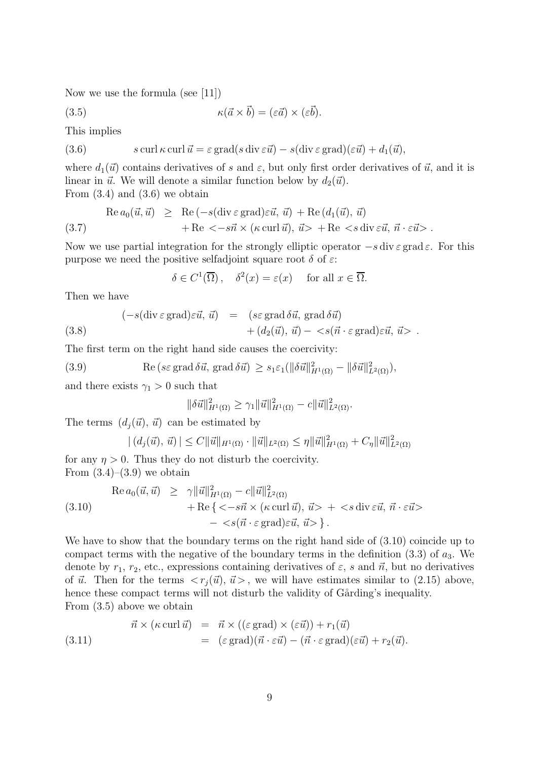Now we use the formula (see [11])

(3.5)  $\kappa(\vec{a} \times \vec{b}) = (\varepsilon \vec{a}) \times (\varepsilon \vec{b}).$ 

This implies

(3.6) 
$$
s \operatorname{curl} \kappa \operatorname{curl} \vec{u} = \varepsilon \operatorname{grad}(s \operatorname{div} \varepsilon \vec{u}) - s(\operatorname{div} \varepsilon \operatorname{grad})(\varepsilon \vec{u}) + d_1(\vec{u}),
$$

where  $d_1(\vec{u})$  contains derivatives of s and  $\varepsilon$ , but only first order derivatives of  $\vec{u}$ , and it is linear in  $\vec{u}$ . We will denote a similar function below by  $d_2(\vec{u})$ . From  $(3.4)$  and  $(3.6)$  we obtain

(3.7) 
$$
\operatorname{Re} a_0(\vec{u}, \vec{u}) \geq \operatorname{Re} (-s(\operatorname{div} \varepsilon \operatorname{grad})\varepsilon \vec{u}, \vec{u}) + \operatorname{Re} (d_1(\vec{u}), \vec{u}) + \operatorname{Re} < -s\vec{n} \times (\kappa \operatorname{curl} \vec{u}), \vec{u} > + \operatorname{Re} < s \operatorname{div} \varepsilon \vec{u}, \vec{n} \cdot \varepsilon \vec{u} > .
$$

Now we use partial integration for the strongly elliptic operator  $-s$  div $\varepsilon$  grad  $\varepsilon$ . For this purpose we need the positive selfadjoint square root  $\delta$  of  $\varepsilon$ :

$$
\delta \in C^1(\overline{\Omega}), \quad \delta^2(x) = \varepsilon(x) \quad \text{ for all } x \in \overline{\Omega}.
$$

Then we have

(3.8) 
$$
(-s(\text{div }\varepsilon \text{ grad})\varepsilon\vec{u}, \vec{u}) = (s\varepsilon \text{ grad }\delta\vec{u}, \text{ grad }\delta\vec{u})
$$
  
 $+(d_2(\vec{u}), \vec{u}) - \langle s(\vec{n} \cdot \varepsilon \text{ grad})\varepsilon\vec{u}, \vec{u} \rangle.$ 

The first term on the right hand side causes the coercivity:

(3.9) Re 
$$
(s \in \text{grad } \delta \vec{u}, \text{ grad } \delta \vec{u}) \geq s_1 \varepsilon_1 (\|\delta \vec{u}\|_{H^1(\Omega)}^2 - \|\delta \vec{u}\|_{L^2(\Omega)}^2),
$$

and there exists  $\gamma_1 > 0$  such that

$$
\|\delta \vec{u}\|_{H^1(\Omega)}^2 \geq \gamma_1 \|\vec{u}\|_{H^1(\Omega)}^2 - c \|\vec{u}\|_{L^2(\Omega)}^2.
$$

The terms  $(d_i(\vec{u}), \vec{u})$  can be estimated by

$$
| (d_j(\vec{u}), \vec{u}) | \leq C ||\vec{u}||_{H^1(\Omega)} \cdot ||\vec{u}||_{L^2(\Omega)} \leq \eta ||\vec{u}||_{H^1(\Omega)}^2 + C_{\eta} ||\vec{u}||_{L^2(\Omega)}^2
$$

for any  $\eta > 0$ . Thus they do not disturb the coercivity. From  $(3.4)$ – $(3.9)$  we obtain

(3.10)  
\n
$$
\operatorname{Re} a_0(\vec{u}, \vec{u}) \geq \gamma \|\vec{u}\|_{H^1(\Omega)}^2 - c \|\vec{u}\|_{L^2(\Omega)}^2 + \operatorname{Re} \{ \langle -s\vec{n} \times (\kappa \operatorname{curl} \vec{u}), \vec{u} \rangle + \langle s \operatorname{div} \vec{e} \vec{u}, \vec{n} \cdot \vec{e} \vec{u} \rangle - \langle s(\vec{n} \cdot \varepsilon \operatorname{grad}) \varepsilon \vec{u}, \vec{u} \rangle \}.
$$

We have to show that the boundary terms on the right hand side of  $(3.10)$  coincide up to compact terms with the negative of the boundary terms in the definition  $(3.3)$  of  $a_3$ . We denote by  $r_1$ ,  $r_2$ , etc., expressions containing derivatives of  $\varepsilon$ , s and  $\vec{n}$ , but no derivatives of  $\vec{u}$ . Then for the terms  $\langle r_i(\vec{u}), \vec{u} \rangle$ , we will have estimates similar to (2.15) above, hence these compact terms will not disturb the validity of Gårding's inequality. From (3.5) above we obtain

(3.11) 
$$
\vec{n} \times (\kappa \operatorname{curl} \vec{u}) = \vec{n} \times ((\varepsilon \operatorname{grad}) \times (\varepsilon \vec{u})) + r_1(\vec{u})
$$

$$
= (\varepsilon \operatorname{grad})(\vec{n} \cdot \varepsilon \vec{u}) - (\vec{n} \cdot \varepsilon \operatorname{grad})(\varepsilon \vec{u}) + r_2(\vec{u}).
$$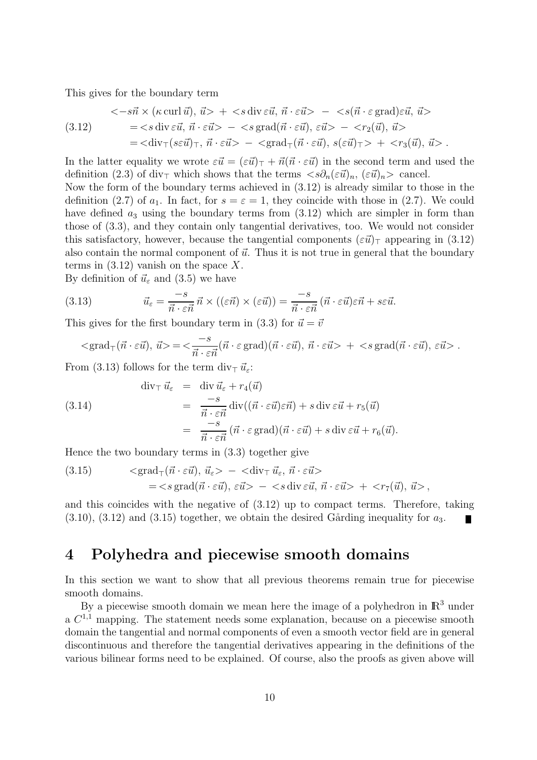This gives for the boundary term

$$
\langle -s\vec{n} \times (\kappa \operatorname{curl} \vec{u}), \vec{u} \rangle + \langle s \operatorname{div} \vec{e}\vec{u}, \vec{n} \cdot \vec{e}\vec{u} \rangle - \langle s(\vec{n} \cdot \vec{\varepsilon} \operatorname{grad})\vec{e}\vec{u}, \vec{u} \rangle
$$
  
\n
$$
= \langle s \operatorname{div} \vec{e}\vec{u}, \vec{n} \cdot \vec{e}\vec{u} \rangle - \langle s \operatorname{grad}(\vec{n} \cdot \vec{e}\vec{u}), \vec{e}\vec{u} \rangle - \langle r_2(\vec{u}), \vec{u} \rangle
$$
  
\n
$$
= \langle \operatorname{div}_{\top} (s\vec{e}\vec{u})_{\top}, \vec{n} \cdot \vec{e}\vec{u} \rangle - \langle \operatorname{grad}_{\top} (\vec{n} \cdot \vec{e}\vec{u}), s(\vec{e}\vec{u})_{\top} \rangle + \langle r_3(\vec{u}), \vec{u} \rangle.
$$

In the latter equality we wrote  $\varepsilon\vec{u} = (\varepsilon\vec{u})_{\top} + \vec{n}(\vec{n} \cdot \varepsilon\vec{u})$  in the second term and used the definition (2.3) of div<sub>⊤</sub> which shows that the terms  $\langle s\partial_n(\varepsilon\vec{u})_n, (\varepsilon\vec{u})_n \rangle$  cancel.

Now the form of the boundary terms achieved in (3.12) is already similar to those in the definition (2.7) of  $a_1$ . In fact, for  $s = \varepsilon = 1$ , they coincide with those in (2.7). We could have defined  $a_3$  using the boundary terms from  $(3.12)$  which are simpler in form than those of (3.3), and they contain only tangential derivatives, too. We would not consider this satisfactory, however, because the tangential components  $(\varepsilon\vec{u})_\top$  appearing in (3.12) also contain the normal component of  $\vec{u}$ . Thus it is not true in general that the boundary terms in  $(3.12)$  vanish on the space X.

By definition of  $\vec{u}_{\varepsilon}$  and (3.5) we have

(3.13) 
$$
\vec{u}_{\varepsilon} = \frac{-s}{\vec{n} \cdot \varepsilon \vec{n}} \vec{n} \times ((\varepsilon \vec{n}) \times (\varepsilon \vec{u})) = \frac{-s}{\vec{n} \cdot \varepsilon \vec{n}} (\vec{n} \cdot \varepsilon \vec{u}) \varepsilon \vec{n} + s \varepsilon \vec{u}.
$$

This gives for the first boundary term in (3.3) for  $\vec{u} = \vec{v}$ 

$$
\langle \text{grad}_{\top}(\vec{n} \cdot \varepsilon \vec{u}), \, \vec{u} \rangle = \langle \frac{-s}{\vec{n} \cdot \varepsilon \vec{n}} (\vec{n} \cdot \varepsilon \text{ grad})(\vec{n} \cdot \varepsilon \vec{u}), \, \vec{n} \cdot \varepsilon \vec{u} \rangle + \langle s \text{ grad}(\vec{n} \cdot \varepsilon \vec{u}), \, \varepsilon \vec{u} \rangle.
$$

From (3.13) follows for the term div<sub>⊤</sub>  $\vec{u}_{\varepsilon}$ :

(3.14)  
\n
$$
\begin{array}{rcl}\n\operatorname{div}_{\top} \vec{u}_{\varepsilon} & = & \operatorname{div} \vec{u}_{\varepsilon} + r_4(\vec{u}) \\
& = & \frac{-s}{\vec{n} \cdot \varepsilon \vec{n}} \operatorname{div}((\vec{n} \cdot \varepsilon \vec{u}) \varepsilon \vec{n}) + s \operatorname{div} \varepsilon \vec{u} + r_5(\vec{u}) \\
& = & \frac{-s}{\vec{n} \cdot \varepsilon \vec{n}} \left( \vec{n} \cdot \varepsilon \operatorname{grad} \right) (\vec{n} \cdot \varepsilon \vec{u}) + s \operatorname{div} \varepsilon \vec{u} + r_6(\vec{u}).\n\end{array}
$$

Hence the two boundary terms in (3.3) together give

(3.15) 
$$
\langle \text{grad}_{\top}(\vec{n} \cdot \varepsilon \vec{u}), \vec{u}_{\varepsilon} \rangle - \langle \text{div}_{\top} \vec{u}_{\varepsilon}, \vec{n} \cdot \varepsilon \vec{u} \rangle = \langle s \text{ grad}(\vec{n} \cdot \varepsilon \vec{u}), \varepsilon \vec{u} \rangle - \langle s \text{ div } \varepsilon \vec{u}, \vec{n} \cdot \varepsilon \vec{u} \rangle + \langle r_{7}(\vec{u}), \vec{u} \rangle,
$$

and this coincides with the negative of (3.12) up to compact terms. Therefore, taking  $(3.10)$ ,  $(3.12)$  and  $(3.15)$  together, we obtain the desired Gårding inequality for  $a_3$ .

### 4 Polyhedra and piecewise smooth domains

In this section we want to show that all previous theorems remain true for piecewise smooth domains.

By a piecewise smooth domain we mean here the image of a polyhedron in  $\mathbb{R}^3$  under a  $C^{1,1}$  mapping. The statement needs some explanation, because on a piecewise smooth domain the tangential and normal components of even a smooth vector field are in general discontinuous and therefore the tangential derivatives appearing in the definitions of the various bilinear forms need to be explained. Of course, also the proofs as given above will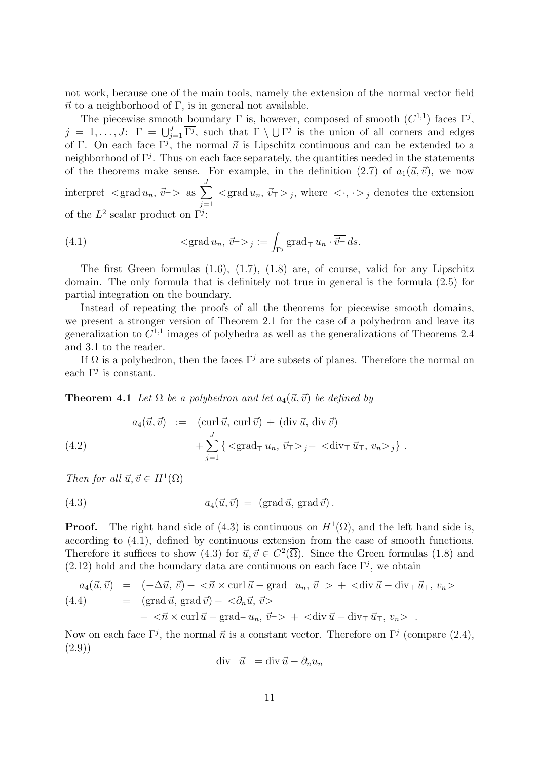not work, because one of the main tools, namely the extension of the normal vector field  $\vec{n}$  to a neighborhood of Γ, is in general not available.

The piecewise smooth boundary  $\Gamma$  is, however, composed of smooth  $(C^{1,1})$  faces  $\Gamma^j$ ,  $j = 1, \ldots, J: \Gamma = \bigcup_{j=1}^{J} \overline{\Gamma^{j}}$ , such that  $\Gamma \setminus \bigcup \Gamma^{j}$  is the union of all corners and edges of Γ. On each face  $\Gamma^j$ , the normal  $\vec{n}$  is Lipschitz continuous and can be extended to a neighborhood of  $\Gamma^j$ . Thus on each face separately, the quantities needed in the statements of the theorems make sense. For example, in the definition  $(2.7)$  of  $a_1(\vec{u}, \vec{v})$ , we now interpret  $\langle \text{grad } u_n, \vec{v}_T \rangle$  as  $\sum$ J  $j=1$  $\langle \text{grad } u_n, \vec{v}_T \rangle_j$ , where  $\langle \cdot, \cdot \rangle_j$  denotes the extension of the  $L^2$  scalar product on  $\Gamma^j$ :

(4.1) 
$$
\langle \operatorname{grad} u_n, \vec{v}_T \rangle_j := \int_{\Gamma^j} \operatorname{grad}_T u_n \cdot \overline{\vec{v}_T} ds.
$$

The first Green formulas (1.6), (1.7), (1.8) are, of course, valid for any Lipschitz domain. The only formula that is definitely not true in general is the formula (2.5) for partial integration on the boundary.

Instead of repeating the proofs of all the theorems for piecewise smooth domains, we present a stronger version of Theorem 2.1 for the case of a polyhedron and leave its generalization to  $C^{1,1}$  images of polyhedra as well as the generalizations of Theorems 2.4 and 3.1 to the reader.

If  $\Omega$  is a polyhedron, then the faces  $\Gamma^j$  are subsets of planes. Therefore the normal on each  $\Gamma^j$  is constant.

**Theorem 4.1** Let  $\Omega$  be a polyhedron and let  $a_4(\vec{u}, \vec{v})$  be defined by

(4.2) 
$$
a_4(\vec{u}, \vec{v}) := (\text{curl } \vec{u}, \text{curl } \vec{v}) + (\text{div } \vec{u}, \text{div } \vec{v}) + \sum_{j=1}^J \{ \langle \text{grad}_{\top} u_n, \vec{v}_{\top} \rangle_j - \langle \text{div}_{\top} \vec{u}_{\top}, v_n \rangle_j \}.
$$

Then for all  $\vec{u}, \vec{v} \in H^1(\Omega)$ 

(4.3) 
$$
a_4(\vec{u}, \vec{v}) = (\text{grad } \vec{u}, \text{grad } \vec{v}).
$$

**Proof.** The right hand side of (4.3) is continuous on  $H^1(\Omega)$ , and the left hand side is, according to (4.1), defined by continuous extension from the case of smooth functions. Therefore it suffices to show (4.3) for  $\vec{u}, \vec{v} \in C^2(\overline{\Omega})$ . Since the Green formulas (1.8) and  $(2.12)$  hold and the boundary data are continuous on each face  $\Gamma^j$ , we obtain

$$
a_4(\vec{u}, \vec{v}) = (-\Delta \vec{u}, \vec{v}) - <\vec{n} \times \text{curl } \vec{u} - \text{grad}_{\top} u_n, \vec{v}_{\top} > + <\text{div } \vec{u} - \text{div}_{\top} \vec{u}_{\top}, v_n >(4.4) = (\text{grad } \vec{u}, \text{grad } \vec{v}) - <\partial_n \vec{u}, \vec{v} >
$$

$$
- <\vec{n} \times \text{curl } \vec{u} - \text{grad}_{\top} u_n, \vec{v}_{\top} > + <\text{div } \vec{u} - \text{div}_{\top} \vec{u}_{\top}, v_n > .
$$

Now on each face  $\Gamma^j$ , the normal  $\vec{n}$  is a constant vector. Therefore on  $\Gamma^j$  (compare (2.4), (2.9))

$$
\operatorname{div}_{\top} \vec{u}_{\top} = \operatorname{div} \vec{u} - \partial_n u_n
$$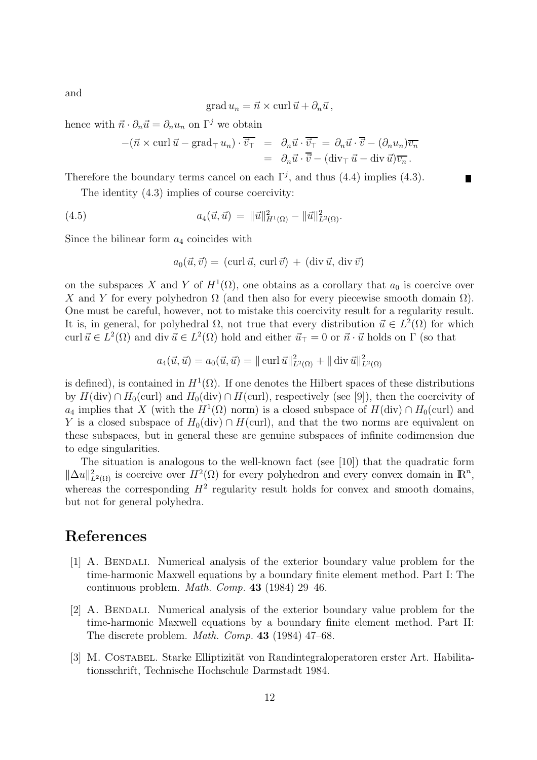$$
\operatorname{grad} u_n = \vec{n} \times \operatorname{curl} \vec{u} + \partial_n \vec{u},
$$

hence with  $\vec{n} \cdot \partial_n \vec{u} = \partial_n u_n$  on  $\Gamma^j$  we obtain

$$
-(\vec{n} \times \operatorname{curl} \vec{u} - \operatorname{grad}_{\top} u_n) \cdot \overline{\vec{v}_{\top}} = \partial_n \vec{u} \cdot \overline{\vec{v}_{\top}} = \partial_n \vec{u} \cdot \overline{\vec{v}} - (\partial_n u_n) \overline{v_n}
$$

$$
= \partial_n \vec{u} \cdot \overline{\vec{v}} - (\operatorname{div}_{\top} \vec{u} - \operatorname{div} \vec{u}) \overline{v_n}.
$$

Therefore the boundary terms cancel on each  $\Gamma^j$ , and thus (4.4) implies (4.3).

The identity (4.3) implies of course coercivity:

(4.5) 
$$
a_4(\vec{u}, \vec{u}) = ||\vec{u}||^2_{H^1(\Omega)} - ||\vec{u}||^2_{L^2(\Omega)}.
$$

Since the bilinear form  $a_4$  coincides with

$$
a_0(\vec{u}, \vec{v}) = (\text{curl } \vec{u}, \text{ curl } \vec{v}) + (\text{div } \vec{u}, \text{div } \vec{v})
$$

on the subspaces X and Y of  $H^1(\Omega)$ , one obtains as a corollary that  $a_0$  is coercive over X and Y for every polyhedron  $\Omega$  (and then also for every piecewise smooth domain  $\Omega$ ). One must be careful, however, not to mistake this coercivity result for a regularity result. It is, in general, for polyhedral  $\Omega$ , not true that every distribution  $\vec{u} \in L^2(\Omega)$  for which curl  $\vec{u} \in L^2(\Omega)$  and div  $\vec{u} \in L^2(\Omega)$  hold and either  $\vec{u}_\top = 0$  or  $\vec{n} \cdot \vec{u}$  holds on  $\Gamma$  (so that

$$
a_4(\vec{u}, \vec{u}) = a_0(\vec{u}, \vec{u}) = || \operatorname{curl} \vec{u} ||_{L^2(\Omega)}^2 + || \operatorname{div} \vec{u} ||_{L^2(\Omega)}^2
$$

is defined), is contained in  $H^1(\Omega)$ . If one denotes the Hilbert spaces of these distributions by  $H(\text{div}) \cap H_0(\text{curl})$  and  $H_0(\text{div}) \cap H(\text{curl})$ , respectively (see [9]), then the coercivity of  $a_4$  implies that X (with the  $H^1(\Omega)$  norm) is a closed subspace of  $H(\text{div}) \cap H_0(\text{curl})$  and Y is a closed subspace of  $H_0(\text{div}) \cap H(\text{curl})$ , and that the two norms are equivalent on these subspaces, but in general these are genuine subspaces of infinite codimension due to edge singularities.

The situation is analogous to the well-known fact (see [10]) that the quadratic form  $\|\Delta u\|_{L^2(\Omega)}^2$  is coercive over  $H^2(\Omega)$  for every polyhedron and every convex domain in  $\mathbb{R}^n$ , whereas the corresponding  $H^2$  regularity result holds for convex and smooth domains, but not for general polyhedra.

## References

- [1] A. Bendali. Numerical analysis of the exterior boundary value problem for the time-harmonic Maxwell equations by a boundary finite element method. Part I: The continuous problem. Math. Comp. 43 (1984) 29–46.
- [2] A. Bendali. Numerical analysis of the exterior boundary value problem for the time-harmonic Maxwell equations by a boundary finite element method. Part II: The discrete problem. Math. Comp. 43 (1984) 47–68.
- [3] M. COSTABEL. Starke Elliptizität von Randintegraloperatoren erster Art. Habilitationsschrift, Technische Hochschule Darmstadt 1984.

and